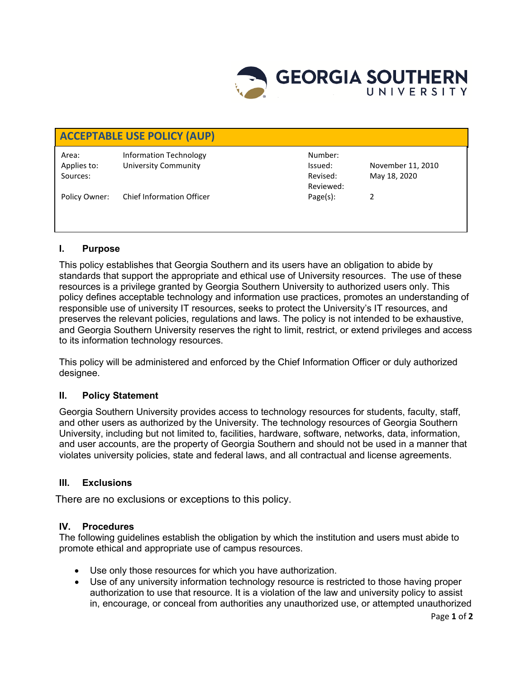

| <b>ACCEPTABLE USE POLICY (AUP)</b> |                                  |           |                   |
|------------------------------------|----------------------------------|-----------|-------------------|
| Area:                              | Information Technology           | Number:   |                   |
| Applies to:                        | <b>University Community</b>      | Issued:   | November 11, 2010 |
| Sources:                           |                                  | Revised:  | May 18, 2020      |
|                                    |                                  | Reviewed: |                   |
| Policy Owner:                      | <b>Chief Information Officer</b> | Page(s):  |                   |
|                                    |                                  |           |                   |
|                                    |                                  |           |                   |

## **I. Purpose**

This policy establishes that Georgia Southern and its users have an obligation to abide by standards that support the appropriate and ethical use of University resources. The use of these resources is a privilege granted by Georgia Southern University to authorized users only. This policy defines acceptable technology and information use practices, promotes an understanding of responsible use of university IT resources, seeks to protect the University's IT resources, and preserves the relevant policies, regulations and laws. The policy is not intended to be exhaustive, and Georgia Southern University reserves the right to limit, restrict, or extend privileges and access to its information technology resources.

This policy will be administered and enforced by the Chief Information Officer or duly authorized designee.

## **II. Policy Statement**

Georgia Southern University provides access to technology resources for students, faculty, staff, and other users as authorized by the University. The technology resources of Georgia Southern University, including but not limited to, facilities, hardware, software, networks, data, information, and user accounts, are the property of Georgia Southern and should not be used in a manner that violates university policies, state and federal laws, and all contractual and license agreements.

## **III. Exclusions**

There are no exclusions or exceptions to this policy.

## **IV. Procedures**

The following guidelines establish the obligation by which the institution and users must abide to promote ethical and appropriate use of campus resources.

- Use only those resources for which you have authorization.
- Use of any university information technology resource is restricted to those having proper authorization to use that resource. It is a violation of the law and university policy to assist in, encourage, or conceal from authorities any unauthorized use, or attempted unauthorized